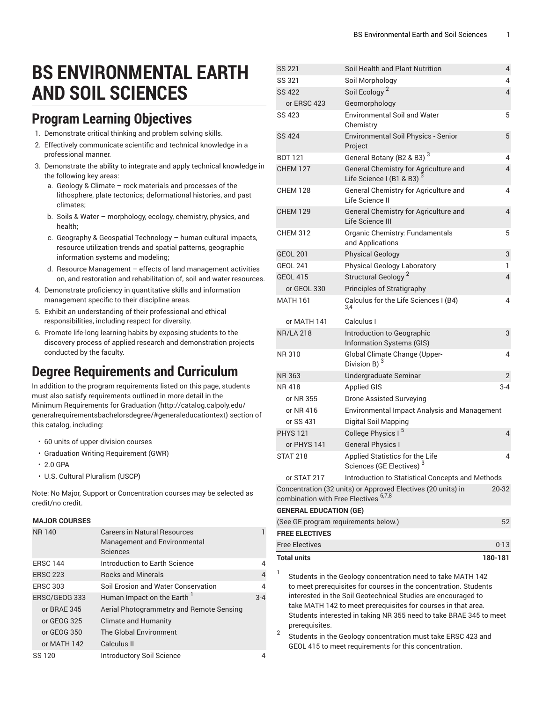# **BS ENVIRONMENTAL EARTH AND SOIL SCIENCES**

### **Program Learning Objectives**

- 1. Demonstrate critical thinking and problem solving skills.
- 2. Effectively communicate scientific and technical knowledge in a professional manner.
- 3. Demonstrate the ability to integrate and apply technical knowledge in the following key areas:
	- a. Geology & Climate rock materials and processes of the lithosphere, plate tectonics; deformational histories, and past climates;
	- b. Soils & Water morphology, ecology, chemistry, physics, and health;
	- c. Geography & Geospatial Technology human cultural impacts, resource utilization trends and spatial patterns, geographic information systems and modeling;
	- d. Resource Management effects of land management activities on, and restoration and rehabilitation of, soil and water resources.
- 4. Demonstrate proficiency in quantitative skills and information management specific to their discipline areas.
- 5. Exhibit an understanding of their professional and ethical responsibilities, including respect for diversity.
- 6. Promote life-long learning habits by exposing students to the discovery process of applied research and demonstration projects conducted by the faculty.

## **Degree Requirements and Curriculum**

In addition to the program requirements listed on this page, students must also satisfy requirements outlined in more detail in the Minimum [Requirements](http://catalog.calpoly.edu/generalrequirementsbachelorsdegree/#generaleducationtext) for Graduation ([http://catalog.calpoly.edu/](http://catalog.calpoly.edu/generalrequirementsbachelorsdegree/#generaleducationtext) [generalrequirementsbachelorsdegree/#generaleducationtext\)](http://catalog.calpoly.edu/generalrequirementsbachelorsdegree/#generaleducationtext) section of this catalog, including:

- 60 units of upper-division courses
- Graduation Writing Requirement (GWR)
- 2.0 GPA
- U.S. Cultural Pluralism (USCP)

Note: No Major, Support or Concentration courses may be selected as credit/no credit.

#### **MAJOR COURSES**

| <b>NR140</b>    | <b>Careers in Natural Resources</b><br>Management and Environmental<br>Sciences |         |
|-----------------|---------------------------------------------------------------------------------|---------|
| <b>ERSC 144</b> | Introduction to Earth Science                                                   | 4       |
| <b>ERSC 223</b> | <b>Rocks and Minerals</b>                                                       | 4       |
| <b>ERSC 303</b> | Soil Erosion and Water Conservation                                             | 4       |
| ERSC/GEOG 333   | Human Impact on the Earth '                                                     | $3 - 4$ |
| or BRAE 345     | Aerial Photogrammetry and Remote Sensing                                        |         |
| or GEOG 325     | <b>Climate and Humanity</b>                                                     |         |
| or GEOG 350     | The Global Environment                                                          |         |
| or MATH 142     | Calculus II                                                                     |         |
| SS 120          | <b>Introductory Soil Science</b>                                                |         |

| <b>SS 221</b>                         | Soil Health and Plant Nutrition                                                                                                                                                                                                                                   | 4                        |
|---------------------------------------|-------------------------------------------------------------------------------------------------------------------------------------------------------------------------------------------------------------------------------------------------------------------|--------------------------|
| SS 321                                | Soil Morphology                                                                                                                                                                                                                                                   | 4                        |
| <b>SS 422</b>                         | Soil Ecology <sup>2</sup>                                                                                                                                                                                                                                         | 4                        |
| or ERSC 423                           | Geomorphology                                                                                                                                                                                                                                                     |                          |
| SS 423                                | <b>Environmental Soil and Water</b><br>Chemistry                                                                                                                                                                                                                  | 5                        |
| <b>SS 424</b>                         | Environmental Soil Physics - Senior<br>Project                                                                                                                                                                                                                    | 5                        |
| <b>BOT 121</b>                        | General Botany (B2 & B3) <sup>3</sup>                                                                                                                                                                                                                             | 4                        |
| <b>CHEM 127</b>                       | General Chemistry for Agriculture and<br>Life Science I (B1 & B3)                                                                                                                                                                                                 | $\overline{4}$           |
| <b>CHEM 128</b>                       | General Chemistry for Agriculture and<br>Life Science II                                                                                                                                                                                                          | 4                        |
| <b>CHEM 129</b>                       | General Chemistry for Agriculture and<br>Life Science III                                                                                                                                                                                                         | 4                        |
| <b>CHEM 312</b>                       | Organic Chemistry: Fundamentals<br>and Applications                                                                                                                                                                                                               | 5                        |
| <b>GEOL 201</b>                       | <b>Physical Geology</b>                                                                                                                                                                                                                                           | 3                        |
| <b>GEOL 241</b>                       | Physical Geology Laboratory                                                                                                                                                                                                                                       | 1                        |
| <b>GEOL 415</b>                       | Structural Geology <sup>2</sup>                                                                                                                                                                                                                                   | $\overline{\mathcal{L}}$ |
| or GEOL 330                           | Principles of Stratigraphy                                                                                                                                                                                                                                        |                          |
| <b>MATH 161</b>                       | Calculus for the Life Sciences I (B4)<br>3.4                                                                                                                                                                                                                      | 4                        |
| or MATH 141                           | Calculus I                                                                                                                                                                                                                                                        |                          |
| <b>NR/LA 218</b>                      | Introduction to Geographic<br>Information Systems (GIS)                                                                                                                                                                                                           | 3                        |
| NR 310                                | Global Climate Change (Upper-<br>Division B) $3$                                                                                                                                                                                                                  | 4                        |
| <b>NR363</b>                          | Undergraduate Seminar                                                                                                                                                                                                                                             | 2                        |
| NR 418                                | <b>Applied GIS</b>                                                                                                                                                                                                                                                | $3 - 4$                  |
| or NR 355                             | <b>Drone Assisted Surveying</b>                                                                                                                                                                                                                                   |                          |
| or NR 416                             | Environmental Impact Analysis and Management                                                                                                                                                                                                                      |                          |
| or SS 431                             | Digital Soil Mapping                                                                                                                                                                                                                                              |                          |
| <b>PHYS 121</b>                       | College Physics I <sup>5</sup>                                                                                                                                                                                                                                    | 4                        |
| or PHYS 141                           | <b>General Physics I</b>                                                                                                                                                                                                                                          |                          |
| <b>STAT 218</b>                       | Applied Statistics for the Life<br>Sciences (GE Electives) <sup>3</sup>                                                                                                                                                                                           | 4                        |
| or STAT 217                           | Introduction to Statistical Concepts and Methods                                                                                                                                                                                                                  |                          |
| combination with Free Electives 6,7,8 | Concentration (32 units) or Approved Electives (20 units) in                                                                                                                                                                                                      | $20 - 32$                |
| <b>GENERAL EDUCATION (GE)</b>         |                                                                                                                                                                                                                                                                   |                          |
| (See GE program requirements below.)  |                                                                                                                                                                                                                                                                   | 52                       |
| <b>FREE ELECTIVES</b>                 |                                                                                                                                                                                                                                                                   |                          |
| <b>Free Flectives</b>                 |                                                                                                                                                                                                                                                                   | $0 - 13$                 |
| <b>Total units</b>                    |                                                                                                                                                                                                                                                                   | 180-181                  |
| 1                                     | Students in the Geology concentration need to take MATH 142<br>to meet prerequisites for courses in the concentration. Students<br>interested in the Soil Geotechnical Studies are encouraged to<br>take MATH 142 to meet prerequisites for courses in that area. |                          |

Students interested in taking NR 355 need to take BRAE 345 to meet prerequisites.

2 Students in the Geology concentration must take ERSC 423 and GEOL 415 to meet requirements for this concentration.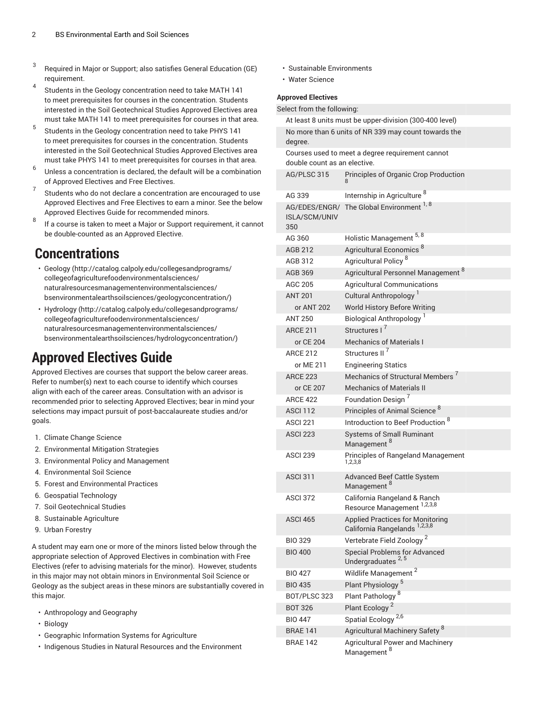- 3 Required in Major or Support; also satisfies General Education (GE) requirement.
- 4 Students in the Geology concentration need to take MATH 141 to meet prerequisites for courses in the concentration. Students interested in the Soil Geotechnical Studies Approved Electives area must take MATH 141 to meet prerequisites for courses in that area.
- 5 Students in the Geology concentration need to take PHYS 141 to meet prerequisites for courses in the concentration. Students interested in the Soil Geotechnical Studies Approved Electives area must take PHYS 141 to meet prerequisites for courses in that area.
- 6 Unless a concentration is declared, the default will be a combination of Approved Electives and Free Electives.
- 7 Students who do not declare a concentration are encouraged to use Approved Electives and Free Electives to earn a minor. See the below Approved Electives Guide for recommended minors.
- 8 If a course is taken to meet a Major or Support requirement, it cannot be double-counted as an Approved Elective.

### **Concentrations**

- [Geology](http://catalog.calpoly.edu/collegesandprograms/collegeofagriculturefoodenvironmentalsciences/naturalresourcesmanagementenvironmentalsciences/bsenvironmentalearthsoilsciences/geologyconcentration/) ([http://catalog.calpoly.edu/collegesandprograms/](http://catalog.calpoly.edu/collegesandprograms/collegeofagriculturefoodenvironmentalsciences/naturalresourcesmanagementenvironmentalsciences/bsenvironmentalearthsoilsciences/geologyconcentration/) [collegeofagriculturefoodenvironmentalsciences/](http://catalog.calpoly.edu/collegesandprograms/collegeofagriculturefoodenvironmentalsciences/naturalresourcesmanagementenvironmentalsciences/bsenvironmentalearthsoilsciences/geologyconcentration/) [naturalresourcesmanagementenvironmentalsciences/](http://catalog.calpoly.edu/collegesandprograms/collegeofagriculturefoodenvironmentalsciences/naturalresourcesmanagementenvironmentalsciences/bsenvironmentalearthsoilsciences/geologyconcentration/) [bsenvironmentalearthsoilsciences/geologyconcentration/\)](http://catalog.calpoly.edu/collegesandprograms/collegeofagriculturefoodenvironmentalsciences/naturalresourcesmanagementenvironmentalsciences/bsenvironmentalearthsoilsciences/geologyconcentration/)
- [Hydrology \(http://catalog.calpoly.edu/collegesandprograms/](http://catalog.calpoly.edu/collegesandprograms/collegeofagriculturefoodenvironmentalsciences/naturalresourcesmanagementenvironmentalsciences/bsenvironmentalearthsoilsciences/hydrologyconcentration/) [collegeofagriculturefoodenvironmentalsciences/](http://catalog.calpoly.edu/collegesandprograms/collegeofagriculturefoodenvironmentalsciences/naturalresourcesmanagementenvironmentalsciences/bsenvironmentalearthsoilsciences/hydrologyconcentration/) [naturalresourcesmanagementenvironmentalsciences/](http://catalog.calpoly.edu/collegesandprograms/collegeofagriculturefoodenvironmentalsciences/naturalresourcesmanagementenvironmentalsciences/bsenvironmentalearthsoilsciences/hydrologyconcentration/) [bsenvironmentalearthsoilsciences/hydrologyconcentration/\)](http://catalog.calpoly.edu/collegesandprograms/collegeofagriculturefoodenvironmentalsciences/naturalresourcesmanagementenvironmentalsciences/bsenvironmentalearthsoilsciences/hydrologyconcentration/)

# **Approved Electives Guide**

Approved Electives are courses that support the below career areas. Refer to number(s) next to each course to identify which courses align with each of the career areas. Consultation with an advisor is recommended prior to selecting Approved Electives; bear in mind your selections may impact pursuit of post-baccalaureate studies and/or goals.

- 1. Climate Change Science
- 2. Environmental Mitigation Strategies
- 3. Environmental Policy and Management
- 4. Environmental Soil Science
- 5. Forest and Environmental Practices
- 6. Geospatial Technology
- 7. Soil Geotechnical Studies
- 8. Sustainable Agriculture
- 9. Urban Forestry

A student may earn one or more of the minors listed below through the appropriate selection of Approved Electives in combination with Free Electives (refer to advising materials for the minor). However, students in this major may not obtain minors in Environmental Soil Science or Geology as the subject areas in these minors are substantially covered in this major.

- Anthropology and Geography
- Biology
- Geographic Information Systems for Agriculture
- Indigenous Studies in Natural Resources and the Environment
- Sustainable Environments
- Water Science

#### **Approved Electives**

Select from the following:

| At least 8 units must be upper-division (300-400 level)                          |                                                                            |  |
|----------------------------------------------------------------------------------|----------------------------------------------------------------------------|--|
| No more than 6 units of NR 339 may count towards the<br>degree.                  |                                                                            |  |
| Courses used to meet a degree requirement cannot<br>double count as an elective. |                                                                            |  |
| AG/PLSC 315                                                                      | Principles of Organic Crop Production                                      |  |
| AG 339                                                                           | Internship in Agriculture <sup>8</sup>                                     |  |
| <b>ISLA/SCM/UNIV</b><br>350                                                      | AG/EDES/ENGR/ The Global Environment 1, 8                                  |  |
| AG 360                                                                           | Holistic Management 5, 8                                                   |  |
| <b>AGB 212</b>                                                                   | Agricultural Economics <sup>8</sup>                                        |  |
| AGB 312                                                                          | Agricultural Policy <sup>8</sup>                                           |  |
| <b>AGB 369</b>                                                                   | Agricultural Personnel Management 8                                        |  |
| AGC 205                                                                          | <b>Agricultural Communications</b>                                         |  |
| <b>ANT 201</b>                                                                   | Cultural Anthropology <sup>1</sup>                                         |  |
| or ANT 202                                                                       | World History Before Writing                                               |  |
| ANT 250                                                                          | Biological Anthropology <sup>1</sup>                                       |  |
| <b>ARCE 211</b>                                                                  | Structures I <sup>7</sup>                                                  |  |
| or CE 204                                                                        | <b>Mechanics of Materials I</b>                                            |  |
| <b>ARCE 212</b>                                                                  | Structures II <sup>7</sup>                                                 |  |
| or ME 211                                                                        | <b>Engineering Statics</b><br>Mechanics of Structural Members <sup>7</sup> |  |
| <b>ARCE 223</b><br>or CE 207                                                     | <b>Mechanics of Materials II</b>                                           |  |
| <b>ARCE 422</b>                                                                  | Foundation Design <sup>7</sup>                                             |  |
| <b>ASCI 112</b>                                                                  | Principles of Animal Science <sup>8</sup>                                  |  |
| ASCI 221                                                                         | Introduction to Beef Production <sup>8</sup>                               |  |
| <b>ASCI 223</b>                                                                  | <b>Systems of Small Ruminant</b>                                           |  |
|                                                                                  | Management <sup>8</sup>                                                    |  |
| <b>ASCI 239</b>                                                                  | Principles of Rangeland Management<br>1,2,3,8                              |  |
| <b>ASCI 311</b>                                                                  | <b>Advanced Beef Cattle System</b><br>Management <sup>8</sup>              |  |
| <b>ASCI 372</b>                                                                  | California Rangeland & Ranch<br>Resource Management 1,2,3,8                |  |
| ASCI <sub>465</sub>                                                              | <b>Applied Practices for Monitoring</b><br>California Rangelands 1,2,3,8   |  |
| <b>BIO 329</b>                                                                   | Vertebrate Field Zoology <sup>2</sup>                                      |  |
| <b>BIO 400</b>                                                                   | <b>Special Problems for Advanced</b><br>Undergraduates <sup>2,5</sup>      |  |
| <b>BIO 427</b>                                                                   | Wildlife Management <sup>2</sup>                                           |  |
| <b>BIO 435</b>                                                                   | Plant Physiology <sup>5</sup>                                              |  |
| BOT/PLSC 323                                                                     | Plant Pathology <sup>8</sup>                                               |  |
| <b>BOT 326</b>                                                                   | Plant Ecology <sup>2</sup>                                                 |  |
| <b>BIO 447</b>                                                                   | Spatial Ecology <sup>2,6</sup>                                             |  |
| <b>BRAE 141</b>                                                                  | Agricultural Machinery Safety <sup>8</sup>                                 |  |
| <b>BRAE 142</b>                                                                  | Agricultural Power and Machinery<br>Management <sup>8</sup>                |  |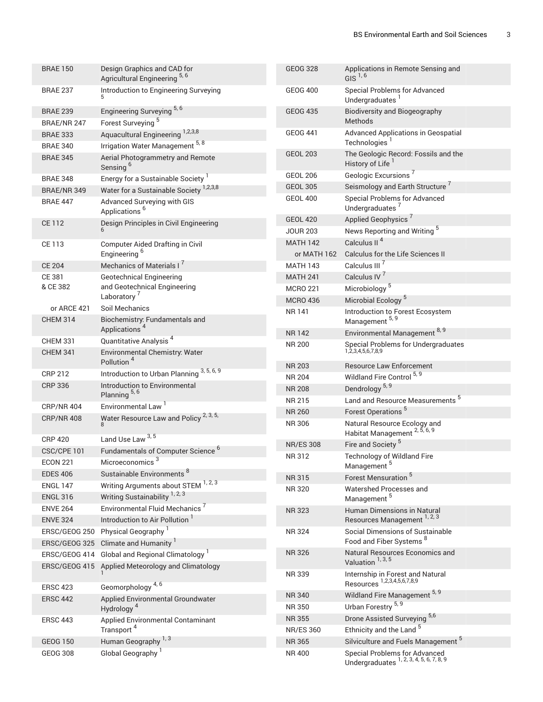| <b>BRAE 150</b>                    | Design Graphics and CAD for<br>Agricultural Engineering <sup>5,6</sup> | <b>GEOG 328</b>        | Applications in Remote Sensing and<br>GIS $1,6$                           |
|------------------------------------|------------------------------------------------------------------------|------------------------|---------------------------------------------------------------------------|
| <b>BRAE 237</b>                    | Introduction to Engineering Surveying                                  | <b>GEOG 400</b>        | Special Problems for Advanced<br>Undergraduates                           |
| <b>BRAE 239</b>                    | Engineering Surveying <sup>5,6</sup><br>Forest Surveying <sup>5</sup>  | <b>GEOG 435</b>        | <b>Biodiversity and Biogeography</b><br>Methods                           |
| BRAE/NR 247                        |                                                                        | <b>GEOG 441</b>        | Advanced Applications in Geospatial                                       |
| <b>BRAE 333</b>                    | Aquacultural Engineering 1,2,3,8                                       |                        | Technologies <sup>1</sup>                                                 |
| <b>BRAE 340</b>                    | Irrigation Water Management 5, 8                                       | <b>GEOL 203</b>        | The Geologic Record: Fossils and the                                      |
| <b>BRAE 345</b>                    | Aerial Photogrammetry and Remote<br>Sensing <sup>6</sup>               |                        | History of Life                                                           |
| <b>BRAE 348</b>                    | Energy for a Sustainable Society <sup>1</sup>                          | <b>GEOL 206</b>        | Geologic Excursions <sup>7</sup>                                          |
| BRAE/NR 349                        | Water for a Sustainable Society <sup>1,2,3,8</sup>                     | <b>GEOL 305</b>        | Seismology and Earth Structure                                            |
| <b>BRAE 447</b>                    | Advanced Surveying with GIS<br>Applications <sup>6</sup>               | <b>GEOL 400</b>        | Special Problems for Advanced<br>Undergraduates <sup>7</sup>              |
| <b>CE112</b>                       | Design Principles in Civil Engineering                                 | <b>GEOL 420</b>        | Applied Geophysics <sup>7</sup>                                           |
|                                    |                                                                        | <b>JOUR 203</b>        | News Reporting and Writing <sup>5</sup>                                   |
| CE 113                             | <b>Computer Aided Drafting in Civil</b>                                | <b>MATH 142</b>        | Calculus II <sup>4</sup>                                                  |
|                                    | Engineering <sup>6</sup>                                               | or MATH 162            | Calculus for the Life Sciences II                                         |
| <b>CE 204</b>                      | Mechanics of Materials I <sup>7</sup>                                  | <b>MATH 143</b>        | Calculus III <sup>7</sup>                                                 |
| CE 381                             | <b>Geotechnical Engineering</b>                                        | <b>MATH 241</b>        | Calculus IV <sup>7</sup>                                                  |
| & CE 382                           | and Geotechnical Engineering                                           | <b>MCRO 221</b>        | Microbiology <sup>5</sup>                                                 |
|                                    | Laboratory                                                             | <b>MCRO 436</b>        | Microbial Ecology <sup>5</sup>                                            |
| or ARCE 421<br><b>CHEM 314</b>     | Soil Mechanics<br>Biochemistry: Fundamentals and                       | <b>NR141</b>           | Introduction to Forest Ecosystem<br>Management <sup>5, 9</sup>            |
|                                    | Applications <sup>4</sup>                                              | <b>NR142</b>           | Environmental Management 8, 9                                             |
| <b>CHEM 331</b><br><b>CHEM 341</b> | Quantitative Analysis <sup>4</sup><br>Environmental Chemistry: Water   | <b>NR 200</b>          | Special Problems for Undergraduates<br>1,2,3,4,5,6,7,8,9                  |
|                                    | Pollution <sup>4</sup>                                                 | <b>NR 203</b>          | <b>Resource Law Enforcement</b>                                           |
| <b>CRP 212</b>                     | Introduction to Urban Planning 3, 5, 6, 9                              | <b>NR 204</b>          | Wildland Fire Control 5, 9                                                |
| <b>CRP 336</b>                     | Introduction to Environmental                                          | <b>NR 208</b>          | Dendrology <sup>5, 9</sup>                                                |
|                                    | Planning <sup>5,6</sup>                                                | <b>NR 215</b>          | Land and Resource Measurements <sup>5</sup>                               |
| <b>CRP/NR 404</b>                  | Environmental Law <sup>1</sup>                                         | <b>NR 260</b>          | Forest Operations <sup>5</sup>                                            |
| <b>CRP/NR 408</b>                  | Water Resource Law and Policy <sup>2, 3, 5,</sup><br>8                 | <b>NR306</b>           | Natural Resource Ecology and<br>Habitat Management <sup>2, 5, 6, 9</sup>  |
| <b>CRP 420</b>                     | Land Use Law <sup>3,5</sup>                                            | <b>NR/ES 308</b>       | Fire and Society <sup>5</sup>                                             |
| CSC/CPE 101                        | Fundamentals of Computer Science <sup>6</sup>                          | NR 312                 | Technology of Wildland Fire                                               |
| <b>ECON 221</b>                    | Microeconomics <sup>3</sup>                                            |                        | Management <sup>5</sup>                                                   |
| <b>EDES 406</b>                    | Sustainable Environments <sup>8</sup>                                  | <b>NR315</b>           | Forest Mensuration <sup>5</sup>                                           |
| <b>ENGL 147</b>                    | Writing Arguments about STEM 1, 2, 3                                   | <b>NR320</b>           | Watershed Processes and                                                   |
| <b>ENGL 316</b>                    | Writing Sustainability <sup>1, 2, 3</sup>                              |                        | Management <sup>5</sup>                                                   |
| <b>ENVE 264</b>                    | Environmental Fluid Mechanics <sup>7</sup>                             | <b>NR323</b>           | Human Dimensions in Natural                                               |
| <b>ENVE 324</b>                    | Introduction to Air Pollution                                          |                        | Resources Management 1, 2, 3                                              |
| ERSC/GEOG 250                      | Physical Geography <sup>1</sup>                                        | NR 324                 | Social Dimensions of Sustainable                                          |
| ERSC/GEOG 325                      | Climate and Humanity <sup>1</sup>                                      |                        | Food and Fiber Systems <sup>8</sup>                                       |
| ERSC/GEOG 414                      | Global and Regional Climatology <sup>1</sup>                           | <b>NR326</b>           | Natural Resources Economics and<br>Valuation <sup>1, 3, 5</sup>           |
|                                    | ERSC/GEOG 415 Applied Meteorology and Climatology                      | NR 339                 | Internship in Forest and Natural<br>Resources 1,2,3,4,5,6,7,8,9           |
| <b>ERSC 423</b>                    | Geomorphology <sup>4,6</sup>                                           |                        | Wildland Fire Management 5, 9                                             |
| <b>ERSC 442</b>                    | Applied Environmental Groundwater<br>Hydrology <sup>4</sup>            | <b>NR340</b><br>NR 350 | Urban Forestry <sup>5, 9</sup>                                            |
| <b>ERSC 443</b>                    | Applied Environmental Contaminant                                      | <b>NR355</b>           | Drone Assisted Surveying 5,6                                              |
|                                    | Transport <sup>4</sup>                                                 | <b>NR/ES 360</b>       | Ethnicity and the Land <sup>5</sup>                                       |
| <b>GEOG 150</b>                    | Human Geography <sup>1,3</sup>                                         | <b>NR365</b>           | Silviculture and Fuels Management <sup>5</sup>                            |
| <b>GEOG 308</b>                    | Global Geography <sup>1</sup>                                          | <b>NR400</b>           | Special Problems for Advanced<br>Undergraduates 1, 2, 3, 4, 5, 6, 7, 8, 9 |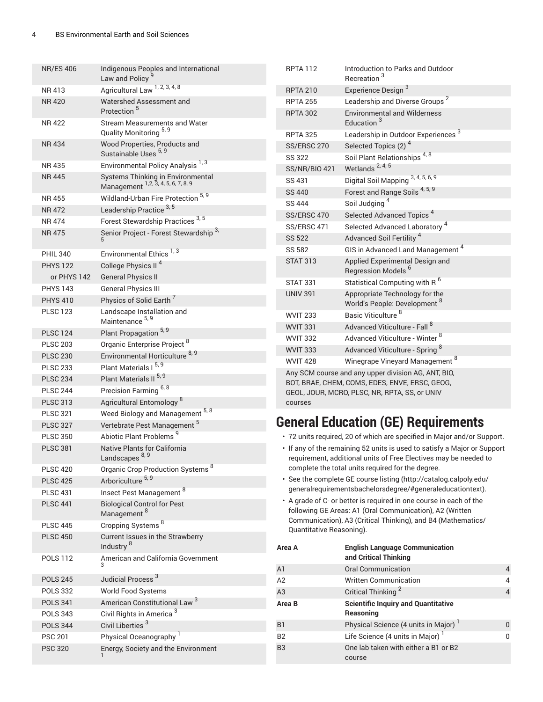| <b>NR/ES 406</b>                   | Indigenous Peoples and International<br>Law and Policy                              | <b>RPTA 112</b>                    | Introduction to Pa<br>Recreation <sup>3</sup>                                     |
|------------------------------------|-------------------------------------------------------------------------------------|------------------------------------|-----------------------------------------------------------------------------------|
| NR 413                             | Agricultural Law 1, 2, 3, 4, 8                                                      | <b>RPTA 210</b>                    | <b>Experience Design</b>                                                          |
| <b>NR420</b>                       | Watershed Assessment and                                                            | <b>RPTA 255</b>                    | Leadership and Di                                                                 |
| <b>NR422</b>                       | Protection <sup>5</sup><br>Stream Measurements and Water                            | <b>RPTA 302</b>                    | Environmental and<br>Education <sup>3</sup>                                       |
|                                    | Quality Monitoring 5, 9                                                             | <b>RPTA 325</b>                    | Leadership in Outo                                                                |
| <b>NR434</b>                       | Wood Properties, Products and<br>Sustainable Uses 5, 9                              | SS/ERSC 270<br>SS 322              | <b>Selected Topics (2</b><br>Soil Plant Relation                                  |
| NR 435                             | Environmental Policy Analysis <sup>1,3</sup>                                        | <b>SS/NR/BIO 421</b>               | Wetlands <sup>2, 4, 5</sup>                                                       |
| <b>NR445</b>                       | Systems Thinking in Environmental<br>Management <sup>1,2, 3, 4, 5, 6, 7, 8, 9</sup> | SS 431                             | Digital Soil Mappir                                                               |
| NR 455                             | Wildland-Urban Fire Protection 5, 9                                                 | <b>SS 440</b>                      | Forest and Range                                                                  |
| NR 472                             | Leadership Practice <sup>3,5</sup>                                                  | SS 444                             | Soil Judging <sup>4</sup>                                                         |
| NR 474                             | Forest Stewardship Practices <sup>3,5</sup>                                         | SS/ERSC 470                        | <b>Selected Advance</b>                                                           |
| NR 475                             | Senior Project - Forest Stewardship <sup>3,</sup>                                   | SS/ERSC 471                        | <b>Selected Advance</b>                                                           |
|                                    |                                                                                     | <b>SS 522</b>                      | <b>Advanced Soil Fer</b>                                                          |
| <b>PHIL 340</b>                    | Environmental Ethics <sup>1,3</sup>                                                 | <b>SS 582</b>                      | GIS in Advanced L                                                                 |
| <b>PHYS 122</b>                    | College Physics II <sup>4</sup>                                                     | <b>STAT 313</b>                    | <b>Applied Experimer</b><br><b>Regression Model</b>                               |
| or PHYS 142                        | <b>General Physics II</b>                                                           | <b>STAT 331</b>                    | <b>Statistical Compu</b>                                                          |
| <b>PHYS 143</b>                    | <b>General Physics III</b>                                                          | <b>UNIV 391</b>                    | Appropriate Techn                                                                 |
| <b>PHYS 410</b>                    | Physics of Solid Earth <sup>7</sup>                                                 |                                    | World's People: De                                                                |
| <b>PLSC 123</b>                    | Landscape Installation and<br>Maintenance 5, 9                                      | <b>WVIT 233</b>                    | Basic Viticulture <sup>8</sup>                                                    |
| <b>PLSC 124</b>                    | Plant Propagation <sup>5, 9</sup>                                                   | <b>WVIT 331</b>                    | <b>Advanced Viticultu</b>                                                         |
| <b>PLSC 203</b>                    | Organic Enterprise Project <sup>8</sup>                                             | <b>WVIT 332</b>                    | <b>Advanced Viticultu</b>                                                         |
| <b>PLSC 230</b>                    | Environmental Horticulture <sup>8, 9</sup>                                          | <b>WVIT 333</b>                    | <b>Advanced Viticultu</b>                                                         |
| <b>PLSC 233</b>                    | Plant Materials I 5, 9                                                              | <b>WVIT 428</b>                    | Winegrape Vineya                                                                  |
| <b>PLSC 234</b>                    |                                                                                     |                                    | Any SCM course and any upper divis                                                |
|                                    | Plant Materials II <sup>5, 9</sup>                                                  |                                    |                                                                                   |
| <b>PLSC 244</b>                    | Precision Farming 6, 8                                                              |                                    | BOT, BRAE, CHEM, COMS, EDES, ENV                                                  |
| <b>PLSC 313</b>                    | Agricultural Entomology <sup>8</sup>                                                | courses                            | GEOL, JOUR, MCRO, PLSC, NR, RPTA                                                  |
| <b>PLSC 321</b>                    |                                                                                     |                                    |                                                                                   |
| <b>PLSC 327</b>                    | Weed Biology and Management 5, 8<br>Vertebrate Pest Management <sup>5</sup>         |                                    | <b>General Education (GE)</b>                                                     |
| <b>PLSC 350</b>                    | Abiotic Plant Problems <sup>9</sup>                                                 |                                    | · 72 units required, 20 of which are sp                                           |
| <b>PLSC 381</b>                    | Native Plants for California<br>Landscapes 8, 9                                     |                                    | • If any of the remaining 52 units is us<br>requirement, additional units of Free |
| <b>PLSC 420</b>                    | Organic Crop Production Systems <sup>8</sup>                                        |                                    | complete the total units required for                                             |
| <b>PLSC 425</b>                    | Arboriculture <sup>5, 9</sup>                                                       |                                    | · See the complete GE course listing (                                            |
| <b>PLSC 431</b>                    | Insect Pest Management <sup>8</sup>                                                 |                                    | generalrequirementsbachelorsdegre                                                 |
| <b>PLSC 441</b>                    | <b>Biological Control for Pest</b><br>Management <sup>8</sup>                       |                                    | • A grade of C- or better is required in<br>following GE Areas: A1 (Oral Commu    |
| <b>PLSC 445</b>                    | Cropping Systems <sup>8</sup>                                                       |                                    | Communication), A3 (Critical Thinkir                                              |
| <b>PLSC 450</b>                    | Current Issues in the Strawberry                                                    | Quantitative Reasoning).<br>Area A |                                                                                   |
| <b>POLS 112</b>                    | Industry <sup>8</sup><br>American and California Government                         |                                    | <b>English Language</b><br>and Critical Thinki                                    |
|                                    |                                                                                     | A1                                 | Oral Communicati                                                                  |
| <b>POLS 245</b>                    | Judicial Process <sup>3</sup>                                                       | A2                                 | Written Communio                                                                  |
| <b>POLS 332</b>                    | World Food Systems                                                                  | A <sub>3</sub>                     | Critical Thinking <sup>2</sup>                                                    |
| <b>POLS 341</b><br><b>POLS 343</b> | American Constitutional Law <sup>3</sup>                                            | Area B                             | <b>Scientific Inquiry a</b><br>Reasoning                                          |
| <b>POLS 344</b>                    | Civil Rights in America <sup>3</sup><br>Civil Liberties <sup>3</sup>                | B <sub>1</sub>                     | Physical Science (                                                                |
| <b>PSC 201</b>                     |                                                                                     | B <sub>2</sub>                     | Life Science (4 uni                                                               |
| <b>PSC 320</b>                     | Physical Oceanography <sup>1</sup><br>Energy, Society and the Environment           | B <sub>3</sub>                     | One lab taken with                                                                |

| <b>RPTA 112</b>                                                                                                                                                   | Introduction to Parks and Outdoor<br>Recreation <sup>3</sup>      |  |  |
|-------------------------------------------------------------------------------------------------------------------------------------------------------------------|-------------------------------------------------------------------|--|--|
| <b>RPTA 210</b>                                                                                                                                                   | Experience Design <sup>3</sup>                                    |  |  |
| <b>RPTA 255</b>                                                                                                                                                   | Leadership and Diverse Groups <sup>2</sup>                        |  |  |
| <b>RPTA 302</b>                                                                                                                                                   | <b>Environmental and Wilderness</b><br>Education <sup>3</sup>     |  |  |
| <b>RPTA 325</b>                                                                                                                                                   | Leadership in Outdoor Experiences <sup>3</sup>                    |  |  |
| SS/ERSC 270                                                                                                                                                       | Selected Topics (2) <sup>4</sup>                                  |  |  |
| <b>SS 322</b>                                                                                                                                                     | Soil Plant Relationships <sup>4,8</sup>                           |  |  |
| <b>SS/NR/BIO 421</b>                                                                                                                                              | Wetlands <sup>2, 4, 5</sup>                                       |  |  |
| SS 431                                                                                                                                                            | Digital Soil Mapping 3, 4, 5, 6, 9                                |  |  |
| SS 440                                                                                                                                                            | Forest and Range Soils <sup>4, 5, 9</sup>                         |  |  |
| <b>SS 444</b>                                                                                                                                                     | Soil Judging <sup>4</sup>                                         |  |  |
| SS/ERSC 470                                                                                                                                                       | Selected Advanced Topics <sup>4</sup>                             |  |  |
| SS/ERSC 471                                                                                                                                                       | Selected Advanced Laboratory <sup>4</sup>                         |  |  |
| <b>SS 522</b>                                                                                                                                                     | Advanced Soil Fertility <sup>4</sup>                              |  |  |
| SS 582                                                                                                                                                            | GIS in Advanced Land Management <sup>4</sup>                      |  |  |
| <b>STAT 313</b>                                                                                                                                                   | Applied Experimental Design and<br>Regression Models <sup>6</sup> |  |  |
| <b>STAT 331</b>                                                                                                                                                   | Statistical Computing with R <sup>6</sup>                         |  |  |
| <b>UNIV 391</b>                                                                                                                                                   | Appropriate Technology for the<br>World's People: Development 8   |  |  |
| <b>WVIT 233</b>                                                                                                                                                   | Basic Viticulture <sup>8</sup>                                    |  |  |
| <b>WVIT 331</b>                                                                                                                                                   | Advanced Viticulture - Fall <sup>8</sup>                          |  |  |
| <b>WVIT 332</b>                                                                                                                                                   | Advanced Viticulture - Winter <sup>8</sup>                        |  |  |
| <b>WVIT 333</b>                                                                                                                                                   | Advanced Viticulture - Spring <sup>8</sup>                        |  |  |
| <b>WVIT 428</b>                                                                                                                                                   | Winegrape Vineyard Management 8                                   |  |  |
| Any SCM course and any upper division AG, ANT, BIO,<br>BOT, BRAE, CHEM, COMS, EDES, ENVE, ERSC, GEOG,<br>GEOL, JOUR, MCRO, PLSC, NR, RPTA, SS, or UNIV<br>COUTSAS |                                                                   |  |  |

# **General Education (GE) Requirements**

- ecified in Major and/or Support.
- $\mathop{\mathsf{sed}}$  to satisfy a Major or Support **Electives may be needed to** the degree.
- [\(http://catalog.calpoly.edu/](http://catalog.calpoly.edu/generalrequirementsbachelorsdegree/#generaleducationtext) ee/#generaleducationtext).
- one course in each of the unication), A2 (Written ng), and B4 (Mathematics/

| Area A         | <b>English Language Communication</b><br>and Critical Thinking |              |
|----------------|----------------------------------------------------------------|--------------|
| A1             | <b>Oral Communication</b>                                      | 4            |
| A2             | <b>Written Communication</b>                                   | 4            |
| A3             | Critical Thinking <sup>2</sup>                                 | 4            |
| Area B         | <b>Scientific Inquiry and Quantitative</b><br>Reasoning        |              |
|                |                                                                |              |
| B1             | Physical Science (4 units in Major) <sup>1</sup>               | <sup>0</sup> |
| <b>B2</b>      | Life Science (4 units in Major) <sup>1</sup>                   | <sup>0</sup> |
| B <sub>3</sub> | One lab taken with either a B1 or B2<br>course                 |              |